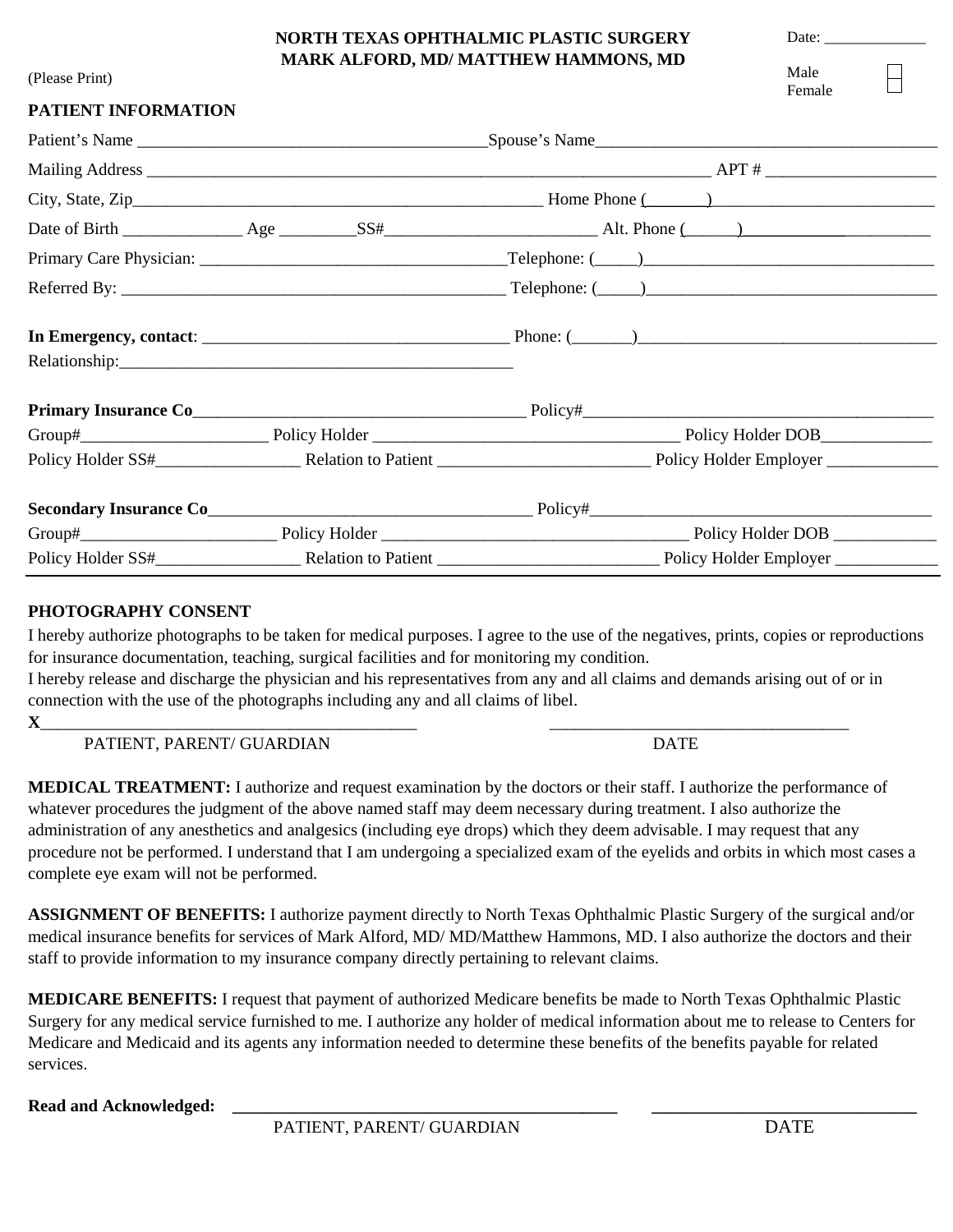## **NORTH TEXAS OPHTHALMIC PLASTIC SURGERY MARK ALFORD, MD/ MATTHEW HAMMONS, MD**

Date:

Male Female

## (Please Print)

| PATIENT INFORMATION |                                                      |
|---------------------|------------------------------------------------------|
|                     |                                                      |
|                     |                                                      |
|                     |                                                      |
|                     |                                                      |
|                     |                                                      |
|                     | $Reference By: \_\_\_\_\_\_\_\_\_\_\_\_\_\_\_\_\_\_$ |
|                     |                                                      |
|                     |                                                      |
|                     |                                                      |
|                     |                                                      |
|                     |                                                      |
|                     |                                                      |
|                     |                                                      |
|                     |                                                      |

## **PHOTOGRAPHY CONSENT**

I hereby authorize photographs to be taken for medical purposes. I agree to the use of the negatives, prints, copies or reproductions for insurance documentation, teaching, surgical facilities and for monitoring my condition.

I hereby release and discharge the physician and his representatives from any and all claims and demands arising out of or in connection with the use of the photographs including any and all claims of libel.

**X**\_\_\_\_\_\_\_\_\_\_\_\_\_\_\_\_\_\_\_\_\_\_\_\_\_\_\_\_\_\_\_\_\_\_\_\_\_\_\_\_\_\_\_\_ \_\_\_\_\_\_\_\_\_\_\_\_\_\_\_\_\_\_\_\_\_\_\_\_\_\_\_\_\_\_\_\_\_\_\_

PATIENT, PARENT/ GUARDIAN DATE

**MEDICAL TREATMENT:** I authorize and request examination by the doctors or their staff. I authorize the performance of whatever procedures the judgment of the above named staff may deem necessary during treatment. I also authorize the administration of any anesthetics and analgesics (including eye drops) which they deem advisable. I may request that any procedure not be performed. I understand that I am undergoing a specialized exam of the eyelids and orbits in which most cases a complete eye exam will not be performed.

**ASSIGNMENT OF BENEFITS:** I authorize payment directly to North Texas Ophthalmic Plastic Surgery of the surgical and/or medical insurance benefits for services of Mark Alford, MD/ MD/Matthew Hammons, MD. I also authorize the doctors and their staff to provide information to my insurance company directly pertaining to relevant claims.

**MEDICARE BENEFITS:** I request that payment of authorized Medicare benefits be made to North Texas Ophthalmic Plastic Surgery for any medical service furnished to me. I authorize any holder of medical information about me to release to Centers for Medicare and Medicaid and its agents any information needed to determine these benefits of the benefits payable for related services.

**Read and Acknowledged:**